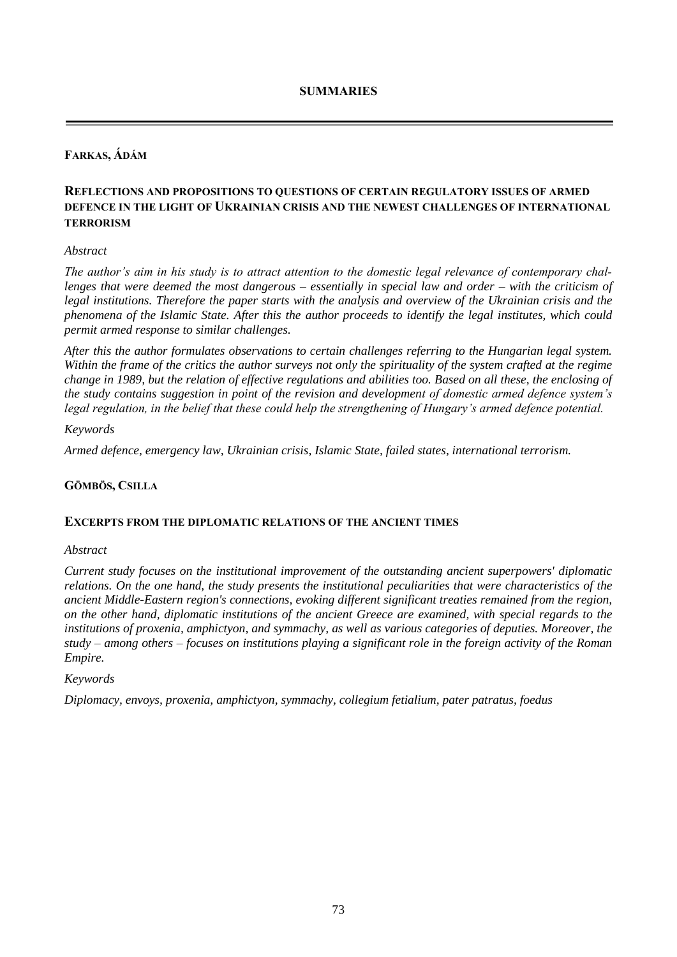# **FARKAS, ÁDÁM**

# **REFLECTIONS AND PROPOSITIONS TO QUESTIONS OF CERTAIN REGULATORY ISSUES OF ARMED DEFENCE IN THE LIGHT OF UKRAINIAN CRISIS AND THE NEWEST CHALLENGES OF INTERNATIONAL TERRORISM**

## *Abstract*

*The author's aim in his study is to attract attention to the domestic legal relevance of contemporary challenges that were deemed the most dangerous – essentially in special law and order – with the criticism of legal institutions. Therefore the paper starts with the analysis and overview of the Ukrainian crisis and the phenomena of the Islamic State. After this the author proceeds to identify the legal institutes, which could permit armed response to similar challenges.*

*After this the author formulates observations to certain challenges referring to the Hungarian legal system. Within the frame of the critics the author surveys not only the spirituality of the system crafted at the regime change in 1989, but the relation of effective regulations and abilities too. Based on all these, the enclosing of the study contains suggestion in point of the revision and development of domestic armed defence system's legal regulation, in the belief that these could help the strengthening of Hungary's armed defence potential.*

### *Keywords*

*Armed defence, emergency law, Ukrainian crisis, Islamic State, failed states, international terrorism.*

## **GÖMBÖS, CSILLA**

#### **EXCERPTS FROM THE DIPLOMATIC RELATIONS OF THE ANCIENT TIMES**

#### *Abstract*

*Current study focuses on the institutional improvement of the outstanding ancient superpowers' diplomatic relations. On the one hand, the study presents the institutional peculiarities that were characteristics of the ancient Middle-Eastern region's connections, evoking different significant treaties remained from the region, on the other hand, diplomatic institutions of the ancient Greece are examined, with special regards to the institutions of proxenia, amphictyon, and symmachy, as well as various categories of deputies. Moreover, the study – among others – focuses on institutions playing a significant role in the foreign activity of the Roman Empire.* 

#### *Keywords*

*Diplomacy, envoys, proxenia, amphictyon, symmachy, collegium fetialium, pater patratus, foedus*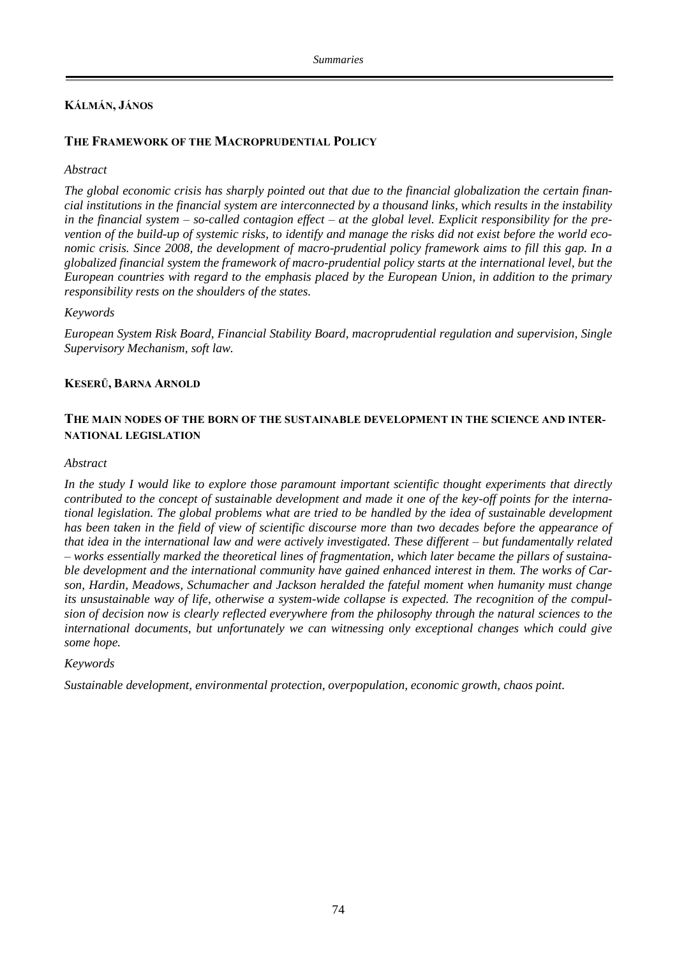# **KÁLMÁN, JÁNOS**

# **THE FRAMEWORK OF THE MACROPRUDENTIAL POLICY**

## *Abstract*

*The global economic crisis has sharply pointed out that due to the financial globalization the certain financial institutions in the financial system are interconnected by a thousand links, which results in the instability in the financial system – so-called contagion effect – at the global level. Explicit responsibility for the prevention of the build-up of systemic risks, to identify and manage the risks did not exist before the world economic crisis. Since 2008, the development of macro-prudential policy framework aims to fill this gap. In a globalized financial system the framework of macro-prudential policy starts at the international level, but the European countries with regard to the emphasis placed by the European Union, in addition to the primary responsibility rests on the shoulders of the states.*

### *Keywords*

*European System Risk Board, Financial Stability Board, macroprudential regulation and supervision, Single Supervisory Mechanism, soft law.*

### **KESERŰ, BARNA ARNOLD**

## **THE MAIN NODES OF THE BORN OF THE SUSTAINABLE DEVELOPMENT IN THE SCIENCE AND INTER-NATIONAL LEGISLATION**

#### *Abstract*

*In the study I would like to explore those paramount important scientific thought experiments that directly contributed to the concept of sustainable development and made it one of the key-off points for the international legislation. The global problems what are tried to be handled by the idea of sustainable development has been taken in the field of view of scientific discourse more than two decades before the appearance of that idea in the international law and were actively investigated. These different – but fundamentally related – works essentially marked the theoretical lines of fragmentation, which later became the pillars of sustainable development and the international community have gained enhanced interest in them. The works of Carson, Hardin, Meadows, Schumacher and Jackson heralded the fateful moment when humanity must change its unsustainable way of life, otherwise a system-wide collapse is expected. The recognition of the compulsion of decision now is clearly reflected everywhere from the philosophy through the natural sciences to the international documents, but unfortunately we can witnessing only exceptional changes which could give some hope.*

#### *Keywords*

*Sustainable development, environmental protection, overpopulation, economic growth, chaos point.*